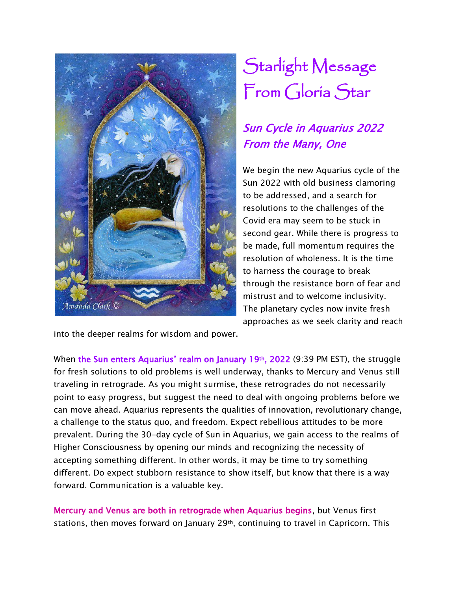

## Starlight Message From Gloria Star

## Sun Cycle in Aquarius 2022 From the Many, One

We begin the new Aquarius cycle of the Sun 2022 with old business clamoring to be addressed, and a search for resolutions to the challenges of the Covid era may seem to be stuck in second gear. While there is progress to be made, full momentum requires the resolution of wholeness. It is the time to harness the courage to break through the resistance born of fear and mistrust and to welcome inclusivity. The planetary cycles now invite fresh approaches as we seek clarity and reach

into the deeper realms for wisdom and power.

When the Sun enters Aquarius' realm on January 19th, 2022 (9:39 PM EST), the struggle for fresh solutions to old problems is well underway, thanks to Mercury and Venus still traveling in retrograde. As you might surmise, these retrogrades do not necessarily point to easy progress, but suggest the need to deal with ongoing problems before we can move ahead. Aquarius represents the qualities of innovation, revolutionary change, a challenge to the status quo, and freedom. Expect rebellious attitudes to be more prevalent. During the 30-day cycle of Sun in Aquarius, we gain access to the realms of Higher Consciousness by opening our minds and recognizing the necessity of accepting something different. In other words, it may be time to try something different. Do expect stubborn resistance to show itself, but know that there is a way forward. Communication is a valuable key.

Mercury and Venus are both in retrograde when Aquarius begins, but Venus first stations, then moves forward on January 29<sup>th</sup>, continuing to travel in Capricorn. This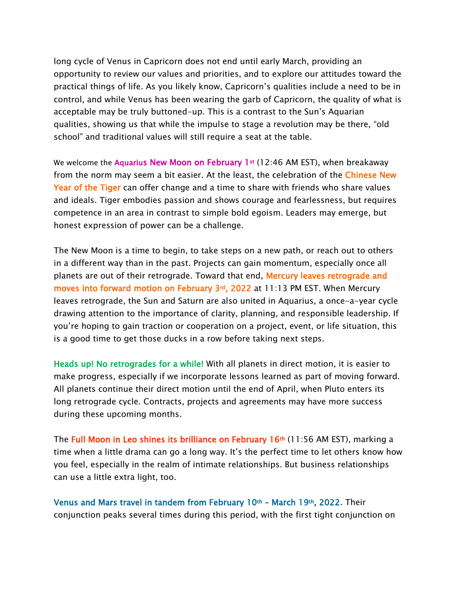long cycle of Venus in Capricorn does not end until early March, providing an opportunity to review our values and priorities, and to explore our attitudes toward the practical things of life. As you likely know, Capricorn's qualities include a need to be in control, and while Venus has been wearing the garb of Capricorn, the quality of what is acceptable may be truly buttoned-up. This is a contrast to the Sun's Aquarian qualities, showing us that while the impulse to stage a revolution may be there, "old school" and traditional values will still require a seat at the table.

We welcome the Aquarius New Moon on February 1st (12:46 AM EST), when breakaway from the norm may seem a bit easier. At the least, the celebration of the Chinese New Year of the Tiger can offer change and a time to share with friends who share values and ideals. Tiger embodies passion and shows courage and fearlessness, but requires competence in an area in contrast to simple bold egoism. Leaders may emerge, but honest expression of power can be a challenge.

The New Moon is a time to begin, to take steps on a new path, or reach out to others in a different way than in the past. Projects can gain momentum, especially once all planets are out of their retrograde. Toward that end, Mercury leaves retrograde and moves into forward motion on February 3rd, 2022 at 11:13 PM EST. When Mercury leaves retrograde, the Sun and Saturn are also united in Aquarius, a once-a-year cycle drawing attention to the importance of clarity, planning, and responsible leadership. If you're hoping to gain traction or cooperation on a project, event, or life situation, this is a good time to get those ducks in a row before taking next steps.

Heads up! No retrogrades for a while! With all planets in direct motion, it is easier to make progress, especially if we incorporate lessons learned as part of moving forward. All planets continue their direct motion until the end of April, when Pluto enters its long retrograde cycle. Contracts, projects and agreements may have more success during these upcoming months.

The Full Moon in Leo shines its brilliance on February  $16<sup>th</sup>$  (11:56 AM EST), marking a time when a little drama can go a long way. It's the perfect time to let others know how you feel, especially in the realm of intimate relationships. But business relationships can use a little extra light, too.

Venus and Mars travel in tandem from February 10th – March 19th, 2022. Their conjunction peaks several times during this period, with the first tight conjunction on